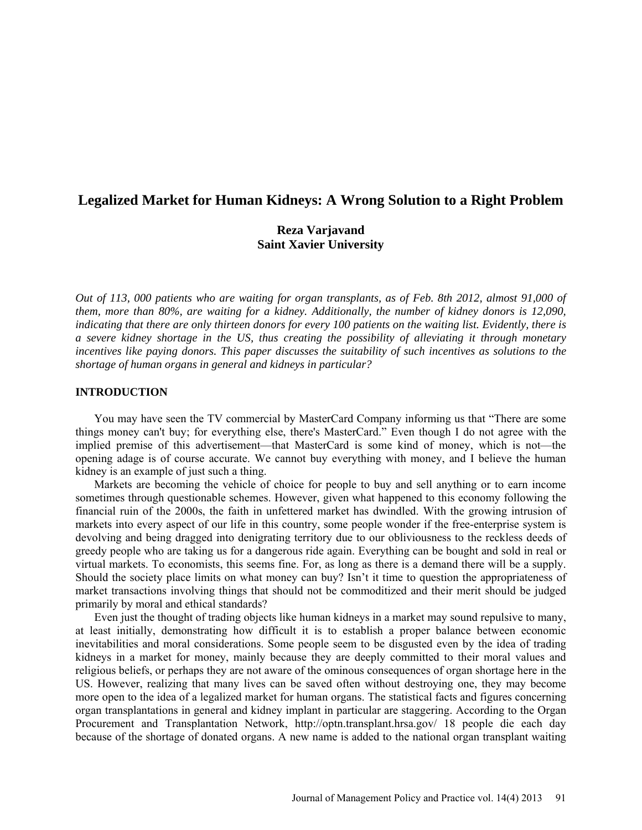# **Legalized Market for Human Kidneys: A Wrong Solution to a Right Problem**

# **Reza Varjavand Saint Xavier University**

*Out of 113, 000 patients who are waiting for organ transplants, as of Feb. 8th 2012, almost 91,000 of them, more than 80%, are waiting for a kidney. Additionally, the number of kidney donors is 12,090, indicating that there are only thirteen donors for every 100 patients on the waiting list. Evidently, there is a severe kidney shortage in the US, thus creating the possibility of alleviating it through monetary incentives like paying donors. This paper discusses the suitability of such incentives as solutions to the shortage of human organs in general and kidneys in particular?*

### **INTRODUCTION**

You may have seen the TV commercial by MasterCard Company informing us that "There are some things money can't buy; for everything else, there's MasterCard." Even though I do not agree with the implied premise of this advertisement—that MasterCard is some kind of money, which is not—the opening adage is of course accurate. We cannot buy everything with money, and I believe the human kidney is an example of just such a thing.

Markets are becoming the vehicle of choice for people to buy and sell anything or to earn income sometimes through questionable schemes. However, given what happened to this economy following the financial ruin of the 2000s, the faith in unfettered market has dwindled. With the growing intrusion of markets into every aspect of our life in this country, some people wonder if the free-enterprise system is devolving and being dragged into denigrating territory due to our obliviousness to the reckless deeds of greedy people who are taking us for a dangerous ride again. Everything can be bought and sold in real or virtual markets. To economists, this seems fine. For, as long as there is a demand there will be a supply. Should the society place limits on what money can buy? Isn't it time to question the appropriateness of market transactions involving things that should not be commoditized and their merit should be judged primarily by moral and ethical standards?

Even just the thought of trading objects like human kidneys in a market may sound repulsive to many, at least initially, demonstrating how difficult it is to establish a proper balance between economic inevitabilities and moral considerations. Some people seem to be disgusted even by the idea of trading kidneys in a market for money, mainly because they are deeply committed to their moral values and religious beliefs, or perhaps they are not aware of the ominous consequences of organ shortage here in the US. However, realizing that many lives can be saved often without destroying one, they may become more open to the idea of a legalized market for human organs. The statistical facts and figures concerning organ transplantations in general and kidney implant in particular are staggering. According to the Organ Procurement and Transplantation Network, <http://optn.transplant.hrsa.gov/> 18 people die each day because of the shortage of donated organs. A new name is added to the national organ transplant waiting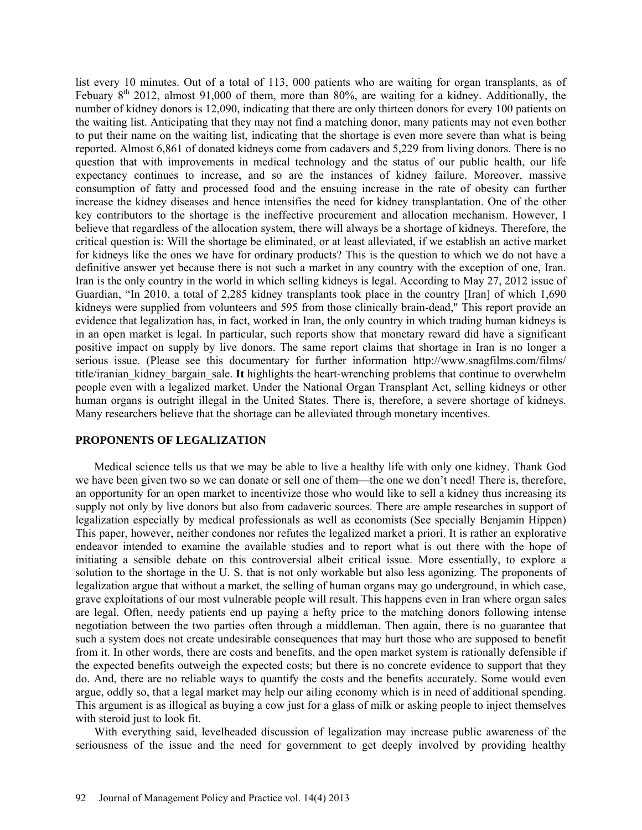list every 10 minutes. Out of a total of 113, 000 patients who are waiting for organ transplants, as of Febuary 8<sup>th</sup> 2012, almost 91,000 of them, more than 80%, are waiting for a kidney. Additionally, the number of kidney donors is 12,090, indicating that there are only thirteen donors for every 100 patients on the waiting list. Anticipating that they may not find a matching donor, many patients may not even bother to put their name on the waiting list, indicating that the shortage is even more severe than what is being reported. Almost 6,861 of donated kidneys come from cadavers and 5,229 from living donors. There is no question that with improvements in medical technology and the status of our public health, our life expectancy continues to increase, and so are the instances of kidney failure. Moreover, massive consumption of fatty and processed food and the ensuing increase in the rate of obesity can further increase the kidney diseases and hence intensifies the need for kidney transplantation. One of the other key contributors to the shortage is the ineffective procurement and allocation mechanism. However, I believe that regardless of the allocation system, there will always be a shortage of kidneys. Therefore, the critical question is: Will the shortage be eliminated, or at least alleviated, if we establish an active market for kidneys like the ones we have for ordinary products? This is the question to which we do not have a definitive answer yet because there is not such a market in any country with the exception of one, Iran. Iran is the only country in the world in which selling kidneys is legal. According to May 27, 2012 issue of Guardian, "In 2010, a total of 2,285 kidney transplants took place in the country [Iran] of which 1,690 kidneys were supplied from volunteers and 595 from those clinically brain-dead," This report provide an evidence that legalization has, in fact, worked in Iran, the only country in which trading human kidneys is in an open market is legal. In particular, such reports show that monetary reward did have a significant positive impact on supply by live donors. The same report claims that shortage in Iran is no longer a serious issue. (Please see this documentary for further information [http://www.snagfilms.com/films/](http://www.snagfilms.com/films/title/iranian_kidney_bargain_sale) [title/iranian\\_kidney\\_bargain\\_sale.](http://www.snagfilms.com/films/title/iranian_kidney_bargain_sale) **It** highlights the heart-wrenching problems that continue to overwhelm people even with a legalized market. Under the National Organ Transplant Act, selling kidneys or other human organs is outright illegal in the United States. There is, therefore, a severe shortage of kidneys. Many researchers believe that the shortage can be alleviated through monetary incentives.

#### **PROPONENTS OF LEGALIZATION**

Medical science tells us that we may be able to live a healthy life with only one kidney. Thank God we have been given two so we can donate or sell one of them—the one we don't need! There is, therefore, an opportunity for an open market to incentivize those who would like to sell a kidney thus increasing its supply not only by live donors but also from cadaveric sources. There are ample researches in support of legalization especially by medical professionals as well as economists (See specially Benjamin Hippen) This paper, however, neither condones nor refutes the legalized market a priori. It is rather an explorative endeavor intended to examine the available studies and to report what is out there with the hope of initiating a sensible debate on this controversial albeit critical issue. More essentially, to explore a solution to the shortage in the U. S. that is not only workable but also less agonizing. The proponents of legalization argue that without a market, the selling of human organs may go underground, in which case, grave exploitations of our most vulnerable people will result. This happens even in Iran where organ sales are legal. Often, needy patients end up paying a hefty price to the matching donors following intense negotiation between the two parties often through a middleman. Then again, there is no guarantee that such a system does not create undesirable consequences that may hurt those who are supposed to benefit from it. In other words, there are costs and benefits, and the open market system is rationally defensible if the expected benefits outweigh the expected costs; but there is no concrete evidence to support that they do. And, there are no reliable ways to quantify the costs and the benefits accurately. Some would even argue, oddly so, that a legal market may help our ailing economy which is in need of additional spending. This argument is as illogical as buying a cow just for a glass of milk or asking people to inject themselves with steroid just to look fit.

With everything said, levelheaded discussion of legalization may increase public awareness of the seriousness of the issue and the need for government to get deeply involved by providing healthy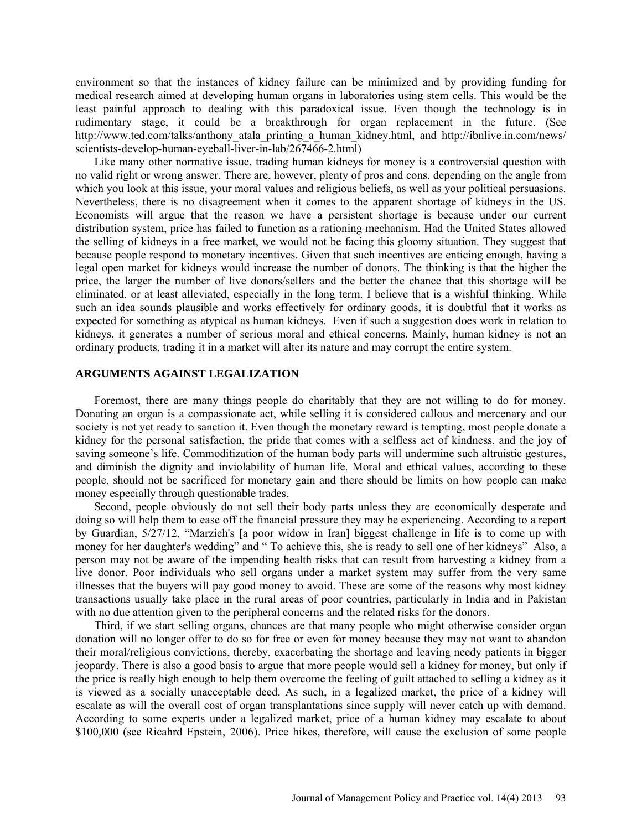environment so that the instances of kidney failure can be minimized and by providing funding for medical research aimed at developing human organs in laboratories using stem cells. This would be the least painful approach to dealing with this paradoxical issue. Even though the technology is in rudimentary stage, it could be a breakthrough for organ replacement in the future. (See [http://www.ted.com/talks/anthony\\_atala\\_printing\\_a\\_human\\_kidney.html,](http://www.ted.com/talks/anthony_atala_printing_a_human_kidney.html) and<http://ibnlive.in.com/news/> scientists-develop-human-eyeball-liver-in-lab/267466-2.html)

Like many other normative issue, trading human kidneys for money is a controversial question with no valid right or wrong answer. There are, however, plenty of pros and cons, depending on the angle from which you look at this issue, your moral values and religious beliefs, as well as your political persuasions. Nevertheless, there is no disagreement when it comes to the apparent shortage of kidneys in the US. Economists will argue that the reason we have a persistent shortage is because under our current distribution system, price has failed to function as a rationing mechanism. Had the United States allowed the selling of kidneys in a free market, we would not be facing this gloomy situation. They suggest that because people respond to monetary incentives. Given that such incentives are enticing enough, having a legal open market for kidneys would increase the number of donors. The thinking is that the higher the price, the larger the number of live donors/sellers and the better the chance that this shortage will be eliminated, or at least alleviated, especially in the long term. I believe that is a wishful thinking. While such an idea sounds plausible and works effectively for ordinary goods, it is doubtful that it works as expected for something as atypical as human kidneys. Even if such a suggestion does work in relation to kidneys, it generates a number of serious moral and ethical concerns. Mainly, human kidney is not an ordinary products, trading it in a market will alter its nature and may corrupt the entire system.

### **ARGUMENTS AGAINST LEGALIZATION**

Foremost, there are many things people do charitably that they are not willing to do for money. Donating an organ is a compassionate act, while selling it is considered callous and mercenary and our society is not yet ready to sanction it. Even though the monetary reward is tempting, most people donate a kidney for the personal satisfaction, the pride that comes with a selfless act of kindness, and the joy of saving someone's life. Commoditization of the human body parts will undermine such altruistic gestures, and diminish the dignity and inviolability of human life. Moral and ethical values, according to these people, should not be sacrificed for monetary gain and there should be limits on how people can make money especially through questionable trades.

Second, people obviously do not sell their body parts unless they are economically desperate and doing so will help them to ease off the financial pressure they may be experiencing. According to a report by Guardian, 5/27/12, "Marzieh's [a poor widow in Iran] biggest challenge in life is to come up with money for her daughter's wedding" and " To achieve this, she is ready to sell one of her kidneys" Also, a person may not be aware of the impending health risks that can result from harvesting a kidney from a live donor. Poor individuals who sell organs under a market system may suffer from the very same illnesses that the buyers will pay good money to avoid. These are some of the reasons why most kidney transactions usually take place in the rural areas of poor countries, particularly in India and in Pakistan with no due attention given to the peripheral concerns and the related risks for the donors.

Third, if we start selling organs, chances are that many people who might otherwise consider organ donation will no longer offer to do so for free or even for money because they may not want to abandon their moral/religious convictions, thereby, exacerbating the shortage and leaving needy patients in bigger jeopardy. There is also a good basis to argue that more people would sell a kidney for money, but only if the price is really high enough to help them overcome the feeling of guilt attached to selling a kidney as it is viewed as a socially unacceptable deed. As such, in a legalized market, the price of a kidney will escalate as will the overall cost of organ transplantations since supply will never catch up with demand. According to some experts under a legalized market, price of a human kidney may escalate to about \$100,000 (see Ricahrd Epstein, 2006). Price hikes, therefore, will cause the exclusion of some people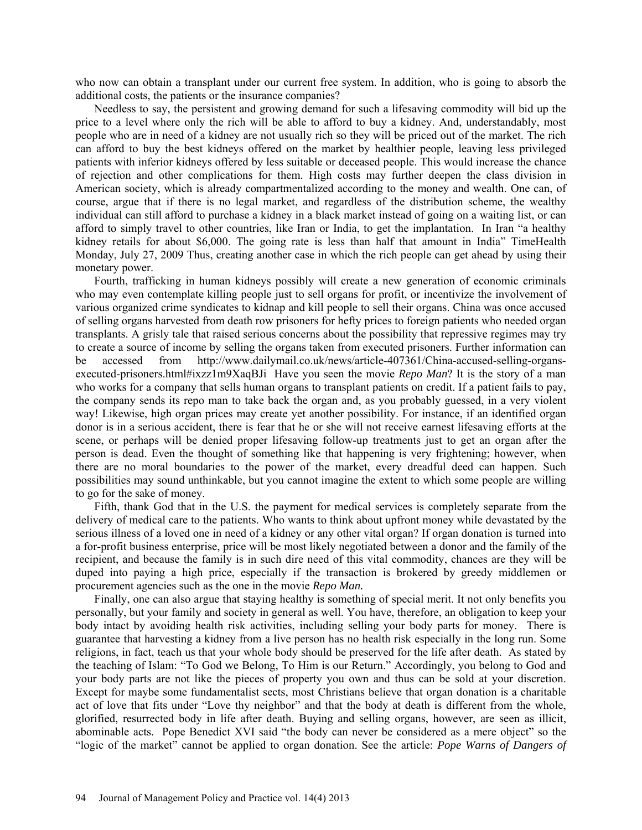who now can obtain a transplant under our current free system. In addition, who is going to absorb the additional costs, the patients or the insurance companies?

Needless to say, the persistent and growing demand for such a lifesaving commodity will bid up the price to a level where only the rich will be able to afford to buy a kidney. And, understandably, most people who are in need of a kidney are not usually rich so they will be priced out of the market. The rich can afford to buy the best kidneys offered on the market by healthier people, leaving less privileged patients with inferior kidneys offered by less suitable or deceased people. This would increase the chance of rejection and other complications for them. High costs may further deepen the class division in American society, which is already compartmentalized according to the money and wealth. One can, of course, argue that if there is no legal market, and regardless of the distribution scheme, the wealthy individual can still afford to purchase a kidney in a black market instead of going on a waiting list, or can afford to simply travel to other countries, like Iran or India, to get the implantation. In Iran "a healthy kidney retails for about \$6,000. The going rate is less than half that amount in India" TimeHealth Monday, July 27, 2009 Thus, creating another case in which the rich people can get ahead by using their monetary power.

Fourth, trafficking in human kidneys possibly will create a new generation of economic criminals who may even contemplate killing people just to sell organs for profit, or incentivize the involvement of various organized crime syndicates to kidnap and kill people to sell their organs. China was once accused of selling organs harvested from death row prisoners for hefty prices to foreign patients who needed organ transplants. A grisly tale that raised serious concerns about the possibility that repressive regimes may try to create a source of income by selling the organs taken from executed prisoners. Further information can be accessed from [http://www.dailymail.co.uk/news/article-407361/China-accused-selling-organs](http://www.dailymail.co.uk/news/article-407361/China-accused-selling-organs-executed-prisoners.html#ixzz1m9XaqBJi)[executed-prisoners.html#ixzz1m9XaqBJi](http://www.dailymail.co.uk/news/article-407361/China-accused-selling-organs-executed-prisoners.html#ixzz1m9XaqBJi) Have you seen the movie *Repo Man*? It is the story of a man who works for a company that sells human organs to transplant patients on credit. If a patient fails to pay, the company sends its repo man to take back the organ and, as you probably guessed, in a very violent way! Likewise, high organ prices may create yet another possibility. For instance, if an identified organ donor is in a serious accident, there is fear that he or she will not receive earnest lifesaving efforts at the scene, or perhaps will be denied proper lifesaving follow-up treatments just to get an organ after the person is dead. Even the thought of something like that happening is very frightening; however, when there are no moral boundaries to the power of the market, every dreadful deed can happen. Such possibilities may sound unthinkable, but you cannot imagine the extent to which some people are willing to go for the sake of money.

Fifth, thank God that in the U.S. the payment for medical services is completely separate from the delivery of medical care to the patients. Who wants to think about upfront money while devastated by the serious illness of a loved one in need of a kidney or any other vital organ? If organ donation is turned into a for-profit business enterprise, price will be most likely negotiated between a donor and the family of the recipient, and because the family is in such dire need of this vital commodity, chances are they will be duped into paying a high price, especially if the transaction is brokered by greedy middlemen or procurement agencies such as the one in the movie *Repo Man.*

Finally, one can also argue that staying healthy is something of special merit. It not only benefits you personally, but your family and society in general as well. You have, therefore, an obligation to keep your body intact by avoiding health risk activities, including selling your body parts for money. There is guarantee that harvesting a kidney from a live person has no health risk especially in the long run. Some religions, in fact, teach us that your whole body should be preserved for the life after death. As stated by the teaching of Islam: "To God we Belong, To Him is our Return." Accordingly, you belong to God and your body parts are not like the pieces of property you own and thus can be sold at your discretion. Except for maybe some fundamentalist sects, most Christians believe that organ donation is a charitable act of love that fits under "Love thy neighbor" and that the body at death is different from the whole, glorified, resurrected body in life after death. Buying and selling organs, however, are seen as illicit, abominable acts. Pope Benedict XVI said "the body can never be considered as a mere object" so the "logic of the market" cannot be applied to organ donation. See the article: *Pope Warns of Dangers of*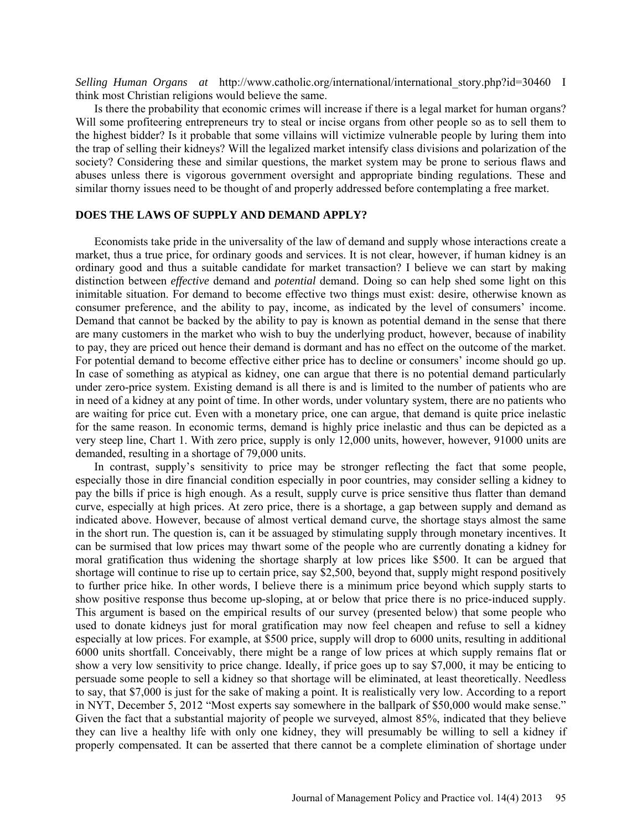*Selling Human Organs at* http:/[/www.catholic.org/international/international\\_story.php?id=30460](http://www.catholic.org/international/international_story.php?id=30460) I think most Christian religions would believe the same.

Is there the probability that economic crimes will increase if there is a legal market for human organs? Will some profiteering entrepreneurs try to steal or incise organs from other people so as to sell them to the highest bidder? Is it probable that some villains will victimize vulnerable people by luring them into the trap of selling their kidneys? Will the legalized market intensify class divisions and polarization of the society? Considering these and similar questions, the market system may be prone to serious flaws and abuses unless there is vigorous government oversight and appropriate binding regulations. These and similar thorny issues need to be thought of and properly addressed before contemplating a free market.

## **DOES THE LAWS OF SUPPLY AND DEMAND APPLY?**

Economists take pride in the universality of the law of demand and supply whose interactions create a market, thus a true price, for ordinary goods and services. It is not clear, however, if human kidney is an ordinary good and thus a suitable candidate for market transaction? I believe we can start by making distinction between *effective* demand and *potential* demand. Doing so can help shed some light on this inimitable situation. For demand to become effective two things must exist: desire, otherwise known as consumer preference, and the ability to pay, income, as indicated by the level of consumers' income. Demand that cannot be backed by the ability to pay is known as potential demand in the sense that there are many customers in the market who wish to buy the underlying product, however, because of inability to pay, they are priced out hence their demand is dormant and has no effect on the outcome of the market. For potential demand to become effective either price has to decline or consumers' income should go up. In case of something as atypical as kidney, one can argue that there is no potential demand particularly under zero-price system. Existing demand is all there is and is limited to the number of patients who are in need of a kidney at any point of time. In other words, under voluntary system, there are no patients who are waiting for price cut. Even with a monetary price, one can argue, that demand is quite price inelastic for the same reason. In economic terms, demand is highly price inelastic and thus can be depicted as a very steep line, Chart 1. With zero price, supply is only 12,000 units, however, however, 91000 units are demanded, resulting in a shortage of 79,000 units.

In contrast, supply's sensitivity to price may be stronger reflecting the fact that some people, especially those in dire financial condition especially in poor countries, may consider selling a kidney to pay the bills if price is high enough. As a result, supply curve is price sensitive thus flatter than demand curve, especially at high prices. At zero price, there is a shortage, a gap between supply and demand as indicated above. However, because of almost vertical demand curve, the shortage stays almost the same in the short run. The question is, can it be assuaged by stimulating supply through monetary incentives. It can be surmised that low prices may thwart some of the people who are currently donating a kidney for moral gratification thus widening the shortage sharply at low prices like \$500. It can be argued that shortage will continue to rise up to certain price, say \$2,500, beyond that, supply might respond positively to further price hike. In other words, I believe there is a minimum price beyond which supply starts to show positive response thus become up-sloping, at or below that price there is no price-induced supply. This argument is based on the empirical results of our survey (presented below) that some people who used to donate kidneys just for moral gratification may now feel cheapen and refuse to sell a kidney especially at low prices. For example, at \$500 price, supply will drop to 6000 units, resulting in additional 6000 units shortfall. Conceivably, there might be a range of low prices at which supply remains flat or show a very low sensitivity to price change. Ideally, if price goes up to say \$7,000, it may be enticing to persuade some people to sell a kidney so that shortage will be eliminated, at least theoretically. Needless to say, that \$7,000 is just for the sake of making a point. It is realistically very low. According to a report in NYT, December 5, 2012 "Most experts say somewhere in the ballpark of \$50,000 would make sense." Given the fact that a substantial majority of people we surveyed, almost 85%, indicated that they believe they can live a healthy life with only one kidney, they will presumably be willing to sell a kidney if properly compensated. It can be asserted that there cannot be a complete elimination of shortage under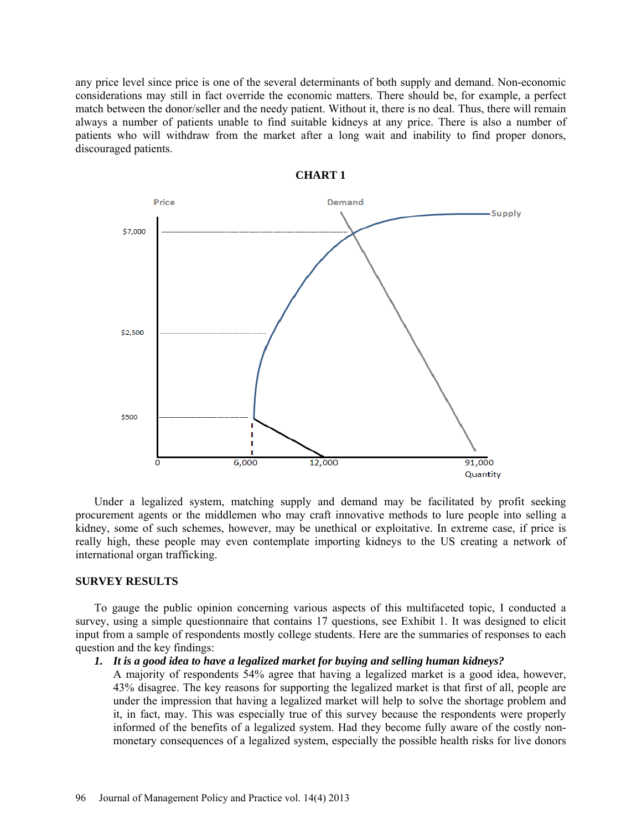any price level since price is one of the several determinants of both supply and demand. Non-economic considerations may still in fact override the economic matters. There should be, for example, a perfect match between the donor/seller and the needy patient. Without it, there is no deal. Thus, there will remain always a number of patients unable to find suitable kidneys at any price. There is also a number of patients who will withdraw from the market after a long wait and inability to find proper donors, discouraged patients.



**CHART 1**

Under a legalized system, matching supply and demand may be facilitated by profit seeking procurement agents or the middlemen who may craft innovative methods to lure people into selling a kidney, some of such schemes, however, may be unethical or exploitative. In extreme case, if price is really high, these people may even contemplate importing kidneys to the US creating a network of international organ trafficking.

#### **SURVEY RESULTS**

To gauge the public opinion concerning various aspects of this multifaceted topic, I conducted a survey, using a simple questionnaire that contains 17 questions, see Exhibit 1. It was designed to elicit input from a sample of respondents mostly college students. Here are the summaries of responses to each question and the key findings:

#### *1. It is a good idea to have a legalized market for buying and selling human kidneys?*

A majority of respondents 54% agree that having a legalized market is a good idea, however, 43% disagree. The key reasons for supporting the legalized market is that first of all, people are under the impression that having a legalized market will help to solve the shortage problem and it, in fact, may. This was especially true of this survey because the respondents were properly informed of the benefits of a legalized system. Had they become fully aware of the costly nonmonetary consequences of a legalized system, especially the possible health risks for live donors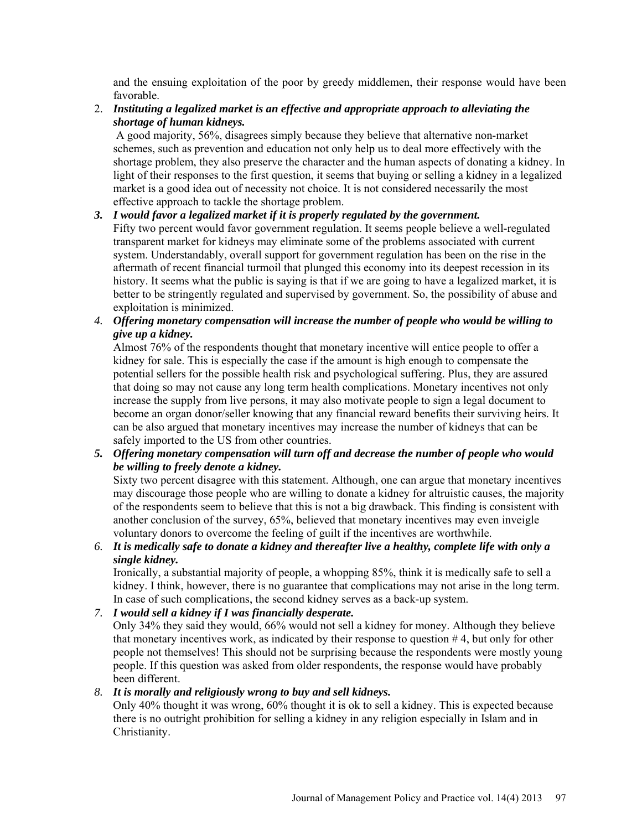and the ensuing exploitation of the poor by greedy middlemen, their response would have been favorable.

2. *Instituting a legalized market is an effective and appropriate approach to alleviating the shortage of human kidneys.*

A good majority, 56%, disagrees simply because they believe that alternative non-market schemes, such as prevention and education not only help us to deal more effectively with the shortage problem, they also preserve the character and the human aspects of donating a kidney. In light of their responses to the first question, it seems that buying or selling a kidney in a legalized market is a good idea out of necessity not choice. It is not considered necessarily the most effective approach to tackle the shortage problem.

# *3. I would favor a legalized market if it is properly regulated by the government.*

Fifty two percent would favor government regulation. It seems people believe a well-regulated transparent market for kidneys may eliminate some of the problems associated with current system. Understandably, overall support for government regulation has been on the rise in the aftermath of recent financial turmoil that plunged this economy into its deepest recession in its history. It seems what the public is saying is that if we are going to have a legalized market, it is better to be stringently regulated and supervised by government. So, the possibility of abuse and exploitation is minimized.

*4. Offering monetary compensation will increase the number of people who would be willing to give up a kidney.* 

Almost 76% of the respondents thought that monetary incentive will entice people to offer a kidney for sale. This is especially the case if the amount is high enough to compensate the potential sellers for the possible health risk and psychological suffering. Plus, they are assured that doing so may not cause any long term health complications. Monetary incentives not only increase the supply from live persons, it may also motivate people to sign a legal document to become an organ donor/seller knowing that any financial reward benefits their surviving heirs. It can be also argued that monetary incentives may increase the number of kidneys that can be safely imported to the US from other countries.

*5. Offering monetary compensation will turn off and decrease the number of people who would be willing to freely denote a kidney.*

Sixty two percent disagree with this statement. Although, one can argue that monetary incentives may discourage those people who are willing to donate a kidney for altruistic causes, the majority of the respondents seem to believe that this is not a big drawback. This finding is consistent with another conclusion of the survey, 65%, believed that monetary incentives may even inveigle voluntary donors to overcome the feeling of guilt if the incentives are worthwhile.

*6. It is medically safe to donate a kidney and thereafter live a healthy, complete life with only a single kidney.* 

Ironically, a substantial majority of people, a whopping 85%, think it is medically safe to sell a kidney. I think, however, there is no guarantee that complications may not arise in the long term. In case of such complications, the second kidney serves as a back-up system.

*7. I would sell a kidney if I was financially desperate.*

Only 34% they said they would, 66% would not sell a kidney for money. Although they believe that monetary incentives work, as indicated by their response to question # 4, but only for other people not themselves! This should not be surprising because the respondents were mostly young people. If this question was asked from older respondents, the response would have probably been different.

## *8. It is morally and religiously wrong to buy and sell kidneys.*

Only 40% thought it was wrong, 60% thought it is ok to sell a kidney. This is expected because there is no outright prohibition for selling a kidney in any religion especially in Islam and in Christianity.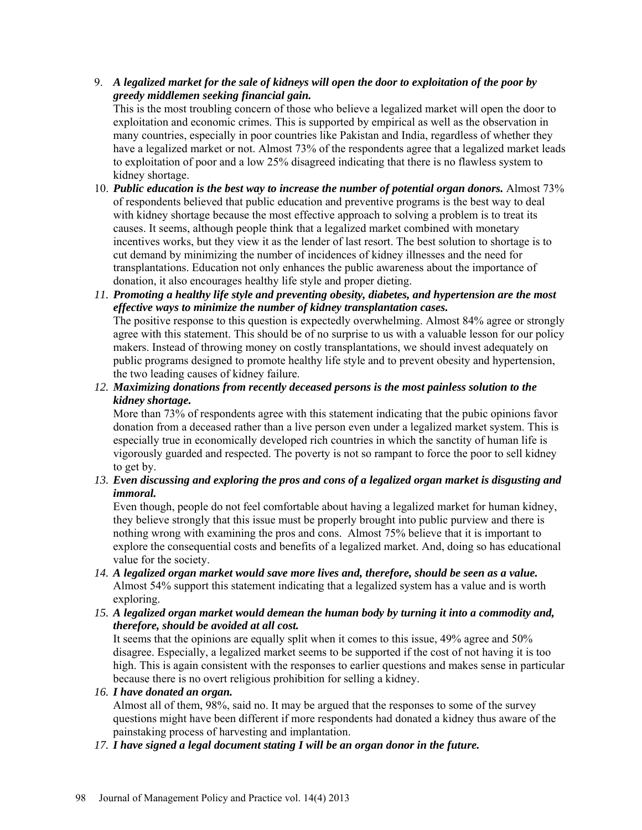# 9. *A legalized market for the sale of kidneys will open the door to exploitation of the poor by greedy middlemen seeking financial gain.*

This is the most troubling concern of those who believe a legalized market will open the door to exploitation and economic crimes. This is supported by empirical as well as the observation in many countries, especially in poor countries like Pakistan and India, regardless of whether they have a legalized market or not. Almost 73% of the respondents agree that a legalized market leads to exploitation of poor and a low 25% disagreed indicating that there is no flawless system to kidney shortage.

- 10. *Public education is the best way to increase the number of potential organ donors.* Almost 73% of respondents believed that public education and preventive programs is the best way to deal with kidney shortage because the most effective approach to solving a problem is to treat its causes. It seems, although people think that a legalized market combined with monetary incentives works, but they view it as the lender of last resort. The best solution to shortage is to cut demand by minimizing the number of incidences of kidney illnesses and the need for transplantations. Education not only enhances the public awareness about the importance of donation, it also encourages healthy life style and proper dieting.
- *11. Promoting a healthy life style and preventing obesity, diabetes, and hypertension are the most effective ways to minimize the number of kidney transplantation cases.*  The positive response to this question is expectedly overwhelming. Almost 84% agree or strongly agree with this statement. This should be of no surprise to us with a valuable lesson for our policy makers. Instead of throwing money on costly transplantations, we should invest adequately on public programs designed to promote healthy life style and to prevent obesity and hypertension, the two leading causes of kidney failure.
- *12. Maximizing donations from recently deceased persons is the most painless solution to the kidney shortage.*

More than 73% of respondents agree with this statement indicating that the pubic opinions favor donation from a deceased rather than a live person even under a legalized market system. This is especially true in economically developed rich countries in which the sanctity of human life is vigorously guarded and respected. The poverty is not so rampant to force the poor to sell kidney to get by.

*13. Even discussing and exploring the pros and cons of a legalized organ market is disgusting and immoral.* 

Even though, people do not feel comfortable about having a legalized market for human kidney, they believe strongly that this issue must be properly brought into public purview and there is nothing wrong with examining the pros and cons. Almost 75% believe that it is important to explore the consequential costs and benefits of a legalized market. And, doing so has educational value for the society.

- *14. A legalized organ market would save more lives and, therefore, should be seen as a value.* Almost 54% support this statement indicating that a legalized system has a value and is worth exploring.
- *15. A legalized organ market would demean the human body by turning it into a commodity and, therefore, should be avoided at all cost.*

It seems that the opinions are equally split when it comes to this issue, 49% agree and 50% disagree. Especially, a legalized market seems to be supported if the cost of not having it is too high. This is again consistent with the responses to earlier questions and makes sense in particular because there is no overt religious prohibition for selling a kidney.

*16. I have donated an organ.* 

Almost all of them, 98%, said no. It may be argued that the responses to some of the survey questions might have been different if more respondents had donated a kidney thus aware of the painstaking process of harvesting and implantation.

*17. I have signed a legal document stating I will be an organ donor in the future.*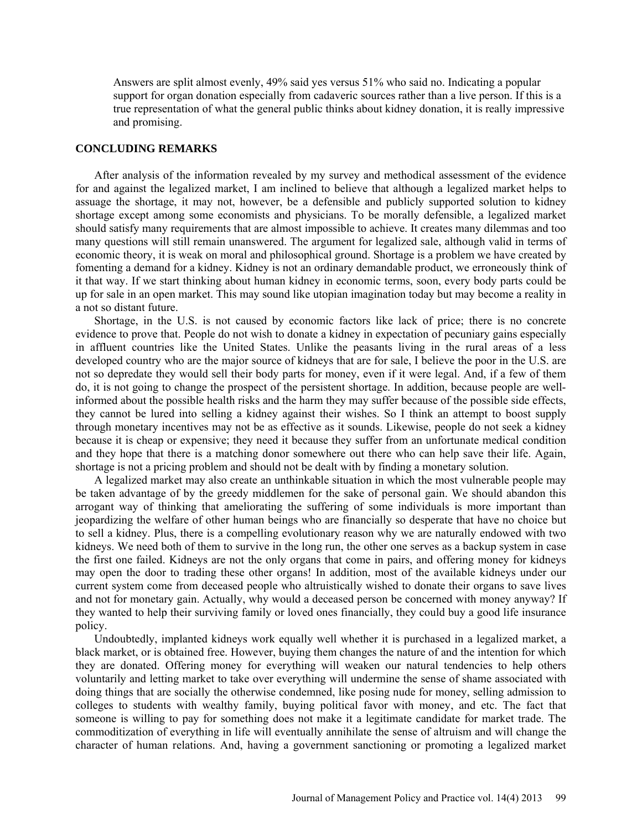Answers are split almost evenly, 49% said yes versus 51% who said no. Indicating a popular support for organ donation especially from cadaveric sources rather than a live person. If this is a true representation of what the general public thinks about kidney donation, it is really impressive and promising.

#### **CONCLUDING REMARKS**

After analysis of the information revealed by my survey and methodical assessment of the evidence for and against the legalized market, I am inclined to believe that although a legalized market helps to assuage the shortage, it may not, however, be a defensible and publicly supported solution to kidney shortage except among some economists and physicians. To be morally defensible, a legalized market should satisfy many requirements that are almost impossible to achieve. It creates many dilemmas and too many questions will still remain unanswered. The argument for legalized sale, although valid in terms of economic theory, it is weak on moral and philosophical ground. Shortage is a problem we have created by fomenting a demand for a kidney. Kidney is not an ordinary demandable product, we erroneously think of it that way. If we start thinking about human kidney in economic terms, soon, every body parts could be up for sale in an open market. This may sound like utopian imagination today but may become a reality in a not so distant future.

Shortage, in the U.S. is not caused by economic factors like lack of price; there is no concrete evidence to prove that. People do not wish to donate a kidney in expectation of pecuniary gains especially in affluent countries like the United States. Unlike the peasants living in the rural areas of a less developed country who are the major source of kidneys that are for sale, I believe the poor in the U.S. are not so depredate they would sell their body parts for money, even if it were legal. And, if a few of them do, it is not going to change the prospect of the persistent shortage. In addition, because people are wellinformed about the possible health risks and the harm they may suffer because of the possible side effects, they cannot be lured into selling a kidney against their wishes. So I think an attempt to boost supply through monetary incentives may not be as effective as it sounds. Likewise, people do not seek a kidney because it is cheap or expensive; they need it because they suffer from an unfortunate medical condition and they hope that there is a matching donor somewhere out there who can help save their life. Again, shortage is not a pricing problem and should not be dealt with by finding a monetary solution.

A legalized market may also create an unthinkable situation in which the most vulnerable people may be taken advantage of by the greedy middlemen for the sake of personal gain. We should abandon this arrogant way of thinking that ameliorating the suffering of some individuals is more important than jeopardizing the welfare of other human beings who are financially so desperate that have no choice but to sell a kidney. Plus, there is a compelling evolutionary reason why we are naturally endowed with two kidneys. We need both of them to survive in the long run, the other one serves as a backup system in case the first one failed. Kidneys are not the only organs that come in pairs, and offering money for kidneys may open the door to trading these other organs! In addition, most of the available kidneys under our current system come from deceased people who altruistically wished to donate their organs to save lives and not for monetary gain. Actually, why would a deceased person be concerned with money anyway? If they wanted to help their surviving family or loved ones financially, they could buy a good life insurance policy.

Undoubtedly, implanted kidneys work equally well whether it is purchased in a legalized market, a black market, or is obtained free. However, buying them changes the nature of and the intention for which they are donated. Offering money for everything will weaken our natural tendencies to help others voluntarily and letting market to take over everything will undermine the sense of shame associated with doing things that are socially the otherwise condemned, like posing nude for money, selling admission to colleges to students with wealthy family, buying political favor with money, and etc. The fact that someone is willing to pay for something does not make it a legitimate candidate for market trade. The commoditization of everything in life will eventually annihilate the sense of altruism and will change the character of human relations. And, having a government sanctioning or promoting a legalized market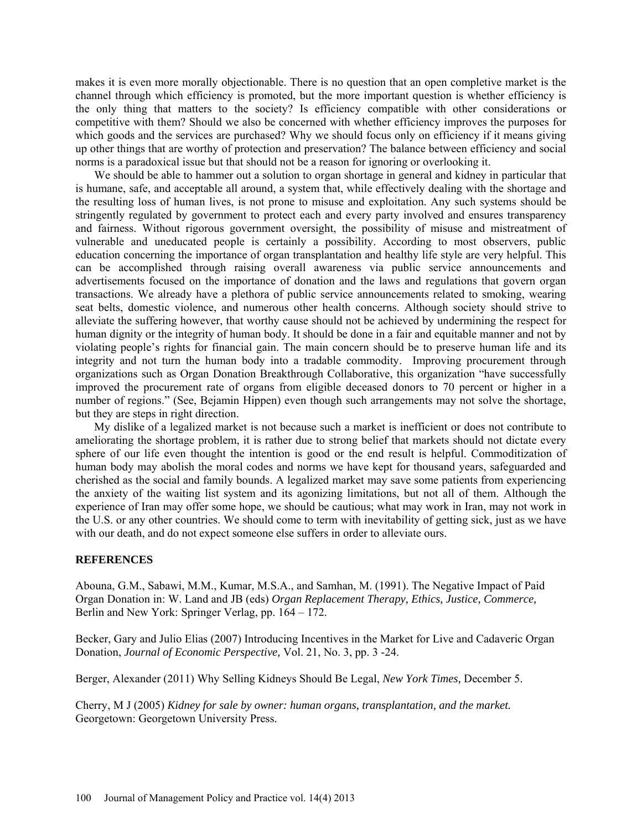makes it is even more morally objectionable. There is no question that an open completive market is the channel through which efficiency is promoted, but the more important question is whether efficiency is the only thing that matters to the society? Is efficiency compatible with other considerations or competitive with them? Should we also be concerned with whether efficiency improves the purposes for which goods and the services are purchased? Why we should focus only on efficiency if it means giving up other things that are worthy of protection and preservation? The balance between efficiency and social norms is a paradoxical issue but that should not be a reason for ignoring or overlooking it.

We should be able to hammer out a solution to organ shortage in general and kidney in particular that is humane, safe, and acceptable all around, a system that, while effectively dealing with the shortage and the resulting loss of human lives, is not prone to misuse and exploitation. Any such systems should be stringently regulated by government to protect each and every party involved and ensures transparency and fairness. Without rigorous government oversight, the possibility of misuse and mistreatment of vulnerable and uneducated people is certainly a possibility. According to most observers, public education concerning the importance of organ transplantation and healthy life style are very helpful. This can be accomplished through raising overall awareness via public service announcements and advertisements focused on the importance of donation and the laws and regulations that govern organ transactions. We already have a plethora of public service announcements related to smoking, wearing seat belts, domestic violence, and numerous other health concerns. Although society should strive to alleviate the suffering however, that worthy cause should not be achieved by undermining the respect for human dignity or the integrity of human body. It should be done in a fair and equitable manner and not by violating people's rights for financial gain. The main concern should be to preserve human life and its integrity and not turn the human body into a tradable commodity. Improving procurement through organizations such as Organ Donation Breakthrough Collaborative, this organization "have successfully improved the procurement rate of organs from eligible deceased donors to 70 percent or higher in a number of regions." (See, Bejamin Hippen) even though such arrangements may not solve the shortage, but they are steps in right direction.

My dislike of a legalized market is not because such a market is inefficient or does not contribute to ameliorating the shortage problem, it is rather due to strong belief that markets should not dictate every sphere of our life even thought the intention is good or the end result is helpful. Commoditization of human body may abolish the moral codes and norms we have kept for thousand years, safeguarded and cherished as the social and family bounds. A legalized market may save some patients from experiencing the anxiety of the waiting list system and its agonizing limitations, but not all of them. Although the experience of Iran may offer some hope, we should be cautious; what may work in Iran, may not work in the U.S. or any other countries. We should come to term with inevitability of getting sick, just as we have with our death, and do not expect someone else suffers in order to alleviate ours.

#### **REFERENCES**

Abouna, G.M., Sabawi, M.M., Kumar, M.S.A., and Samhan, M. (1991). The Negative Impact of Paid Organ Donation in: W. Land and JB (eds) *Organ Replacement Therapy, Ethics, Justice, Commerce,* Berlin and New York: Springer Verlag, pp. 164 – 172.

Becker, Gary and Julio Elias (2007) Introducing Incentives in the Market for Live and Cadaveric Organ Donation, *Journal of Economic Perspective,* Vol. 21, No. 3, pp. 3 -24.

Berger, Alexander (2011) Why Selling Kidneys Should Be Legal, *New York Times,* December 5.

Cherry, M J (2005) *Kidney for sale by owner: human organs, transplantation, and the market.* Georgetown: Georgetown University Press.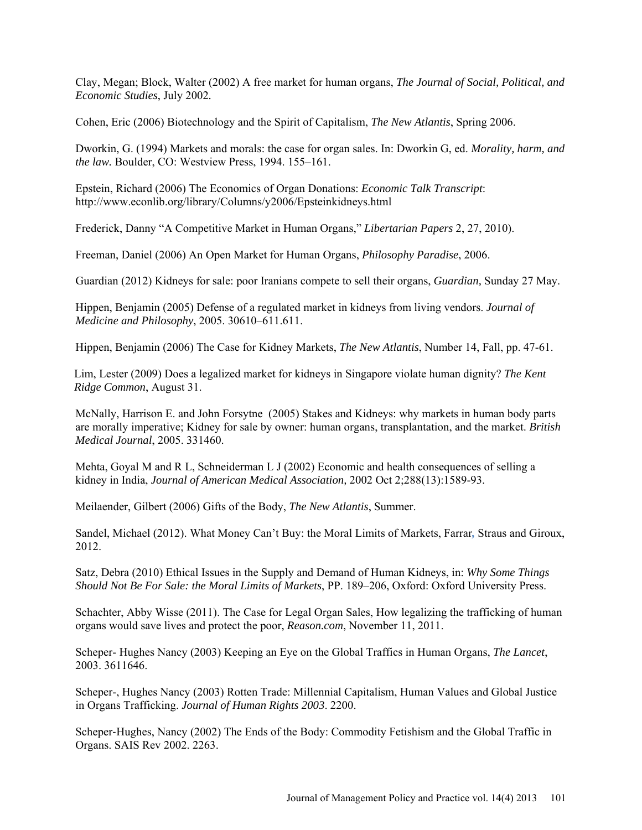[Clay, Megan;](http://www.highbeam.com/Search?searchTerm=author%3a%22Clay%2c+Megan%22&orderBy=Date+DESC) [Block, Walter](http://www.highbeam.com/Search?searchTerm=author%3a%22Block%2c+Walter%22&orderBy=Date+DESC) (2002) A free market for human organs, *[The Journal of Social, Political, and](javascript:void(0);)  [Economic Studies](javascript:void(0);)*, July 2002*.* 

Cohen, Eric (2006) Biotechnology and the Spirit of Capitalism, *The New Atlantis*, Spring 2006.

Dworkin, G. (1994) Markets and morals: the case for organ sales. In: Dworkin G, ed. *Morality, harm, and the law.* Boulder, CO: Westview Press, 1994. 155–161.

Epstein, Richard (2006) The Economics of Organ Donations: *Economic Talk Transcript*: http://www.econlib.org/library/Columns/y2006/Epsteinkidneys.html

Frederick, Danny "A Competitive Market in Human Organs," *Libertarian Papers* 2, 27, 2010).

Freeman, Daniel (2006) An Open Market for Human Organs, *Philosophy Paradise*, 2006.

Guardian (2012) Kidneys for sale: poor Iranians compete to sell their organs, *Guardian,* Sunday 27 May.

Hippen, Benjamin (2005) Defense of a regulated market in kidneys from living vendors. *Journal of Medicine and Philosophy*, 2005. 30610–611.611.

Hippen, Benjamin (2006) The Case for Kidney Markets, *The New Atlantis*, Number 14, Fall, pp. 47-61.

[Lim,](http://kentridgecommon.com/?author=1) Lester (2009) Does a legalized market for kidneys in Singapore violate human dignity? *The Kent Ridge Common*, August 31.

McNally, Harrison E. and John Forsytne (2005) Stakes and Kidneys: why markets in human body parts are morally imperative; Kidney for sale by owner: human organs, transplantation, and the market. *British Medical Journal*, 2005. 331460.

Mehta, Goyal M and R L, Schneiderman L J (2002) Economic and health consequences of selling a kidney in India, *Journal of American Medical Association,* 2002 Oct 2;288(13):1589-93.

Meilaender, Gilbert (2006) Gifts of the Body, *The New Atlantis*, Summer.

Sandel, Michael (2012). What Money Can't Buy: the Moral Limits of Markets, Farrar*,* Straus and Giroux, 2012.

Satz, Debra (2010) Ethical Issues in the Supply and Demand of Human Kidneys, in: *Why Some Things Should Not Be For Sale: the Moral Limits of Markets*, PP. 189–206, Oxford: Oxford University Press.

[Schachter,](http://reason.com/people/abby-wisse-schachter/all) Abby Wisse (2011). [The Case for Legal Organ Sales,](http://reason.com/archives/2011/11/11/the-case-for-legal-organ-sales) How legalizing the trafficking of human organs would save lives and protect the poor, *Reason.com*, November 11, 2011.

Scheper- Hughes Nancy (2003) Keeping an Eye on the Global Traffics in Human Organs, *The Lancet*, 2003. 3611646.

Scheper-, Hughes Nancy (2003) Rotten Trade: Millennial Capitalism, Human Values and Global Justice in Organs Trafficking. *Journal of Human Rights 2003*. 2200.

Scheper-Hughes, Nancy (2002) The Ends of the Body: Commodity Fetishism and the Global Traffic in Organs. SAIS Rev 2002. 2263.